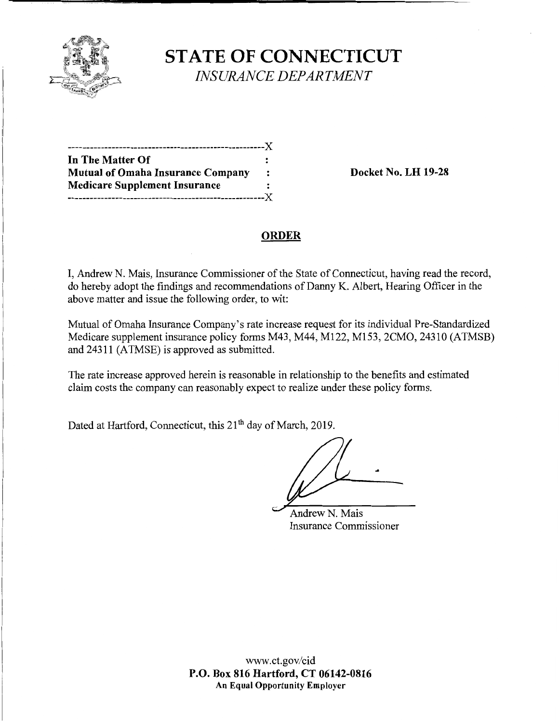

**STATE OF CONNECTICUT**  *INSURANCE DEPARTMENT* 

| In The Matter Of                         |                |
|------------------------------------------|----------------|
| <b>Mutual of Omaha Insurance Company</b> | $\ddot{\cdot}$ |
| <b>Medicare Supplement Insurance</b>     |                |
| ------------------------------------     |                |

**Docket No. LH 19-28** 

## **ORDER**

I, Andrew N. Mais, Insurance Commissioner of the State of Connecticut, having read the record, do hereby adopt the findings and recommendations of Danny K. Albert, Hearing Officer in the above matter and issue the following order, to wit:

Mutual of Omaha Insurance Company's rate increase request for its individual Pre-Standardized Medicare supplement insurance policy forms M43, M44, M122, M153, 2CMO, 24310 (ATMSB) and 24311 (ATMSE) is approved as submitted.

The rate increase approved herein is reasonable in relationship to the benefits and estimated claim costs the company can reasonably expect to realize under these policy forms.

Dated at Hartford, Connecticut, this 21<sup>th</sup> day of March, 2019.

..

Andrew N. Mais Insurance Commissioner

www.ct.gov/cid **P.O. Box 816 Hartford, CT 06142-0816 An Equal Opportunity Employer**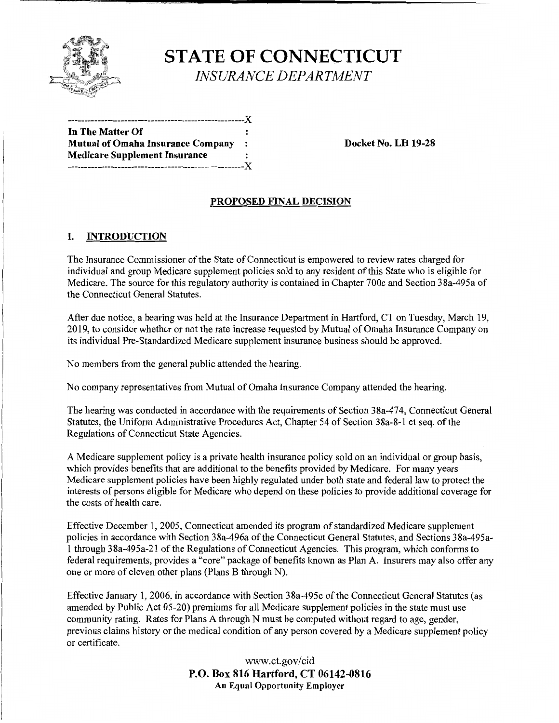

# **STATE OF CONNECTICUT**  *INSURANCE DEPARTMENT*

-----------------------------------------------------)( **In The Matter Of**  Mutual of Omaha Insurance Company : Docket No. LH 19-28 **Medicare Supplement Insurance**  -----------------------------------------------------)(

## **PROPOSED FINAL DECISION**

### I. **INTRODUCTION**

The Insurance Commissioner of the State of Connecticut is empowered to review rates charged for individual and group Medicare supplement policies sold to any resident of this State who is eligible for Medicare. The source for this regulatory authority is contained in Chapter 700c and Section 3 8a-495a of the Connecticut General Statutes.

After due notice, a hearing was held at the Insurance Department in Hartford, CT on Tuesday, March 19, 2019, to consider whether or not the rate increase requested by Mutual of Omaha Insurance Company on its individual Pre-Standardized Medicare supplement insurance business should be approved.

No members from the general public attended the hearing.

No company representatives from Mutual of Omaha Insurance Company attended the hearing.

The hearing was conducted in accordance with the requirements of Section 38a-474, Connecticut General Statutes, the Uniform Administrative Procedures Act, Chapter 54 of Section 38a-8-1 et seq. of the Regulations of Connecticut State Agencies.

A Medicare supplement policy is a private health insurance policy sold on an individual or group basis, which provides benefits that are additional to the benefits provided by Medicare. For many years Medicare supplement policies have been highly regulated under both state and federal law to protect the interests of persons eligible for Medicare who depend on these policies to provide additional coverage for the costs of health care.

Effective December 1, 2005, Connecticut amended its program of standardized Medicare supplement policies in accordance with Section 38a-496a of the Connecticut General Statutes, and Sections 38a-495a-1 through 38a-495a-21 of the Regulations of Connecticut Agencies. This program, which conforms to federal requirements, provides a "core" package of benefits known as Plan A. Insurers may also offer any one or more of eleven other plans (Plans B through N).

Effective January 1, 2006, in accordance with Section 38a-495c of the Connecticut General Statutes (as amended by Public Act 05-20) premiums for all Medicare supplement policies in the state must use community rating. Rates for Plans A through N must be computed without regard to age, gender, previous claims history or the medical condition of any person covered by a Medicare supplement policy or certificate.

> www.ct.gov/cid **P.O. Box 816 Hartford, CT 06142-0816 An Equal Opportunity Employer**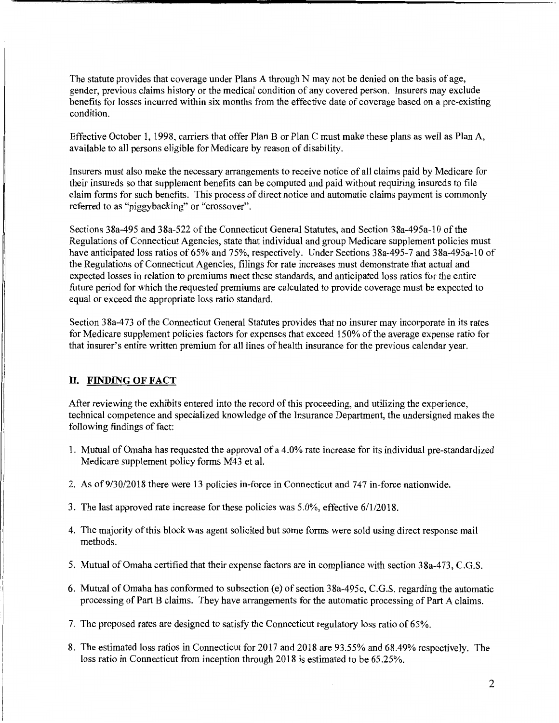The statute provides that coverage under Plans A through N may not be denied on the basis of age, gender, previous claims history or the medical condition of any covered person. Insurers may exclude benefits for losses incurred within six months from the effective date of coverage based on a pre-existing condition.

Effective October 1, 1998, carriers that offer Plan B or Plan C must make these plans as well as Plan A, available to all persons eligible for Medicare by reason of disability.

Insurers must also make the necessary arrangements to receive notice of all claims paid by Medicare for their insureds so that supplement benefits can be computed and paid without requiring insureds to file claim forms for such benefits. This process of direct notice and automatic claims payment is commonly referred to as "piggybacking" or "crossover".

Sections 38a-495 and 38a-522 of the Connecticut General Statutes, and Section 38a-495a-10 of the Regulations of Connecticut Agencies, state that individual and group Medicare supplement policies must have anticipated loss ratios of 65% and 75%, respectively. Under Sections 38a-495-7 and 38a-495a-10 of the Regulations of Connecticut Agencies, filings for rate increases must demonstrate that actual and expected losses in relation to premiums meet these standards, and anticipated loss ratios for the entire future period for which the requested premiums are calculated to provide coverage must be expected to equal or exceed the appropriate loss ratio standard.

Section 38a-473 of the Connecticut General Statutes provides that no insurer may incorporate in its rates for Medicare supplement policies factors for expenses that exceed 150% of the average expense ratio for that insurer's entire written premium for all lines of health insurance for the previous calendar year.

#### II. **FINDING OF FACT**

After reviewing the exhibits entered into the record of this proceeding, and utilizing the experience, technical competence and specialized knowledge of the Insurance Department, the undersigned makes the following findings of fact:

- 1. Mutual of Omaha has requested the approval of a 4.0% rate increase for its individual pre-standardized Medicare supplement policy forms M43 et al.
- 2. As of9/30/2018 there were 13 policies in-force in Connecticut and 747 in-force nationwide.
- 3. The last approved rate increase for these policies was 5.0%, effective 6/1/2018.
- 4. The majority of this block was agent solicited but some forms were sold using direct response mail methods.
- 5. Mutual of Omaha certified that their expense factors are in compliance with section 38a-473, C.G.S.
- 6. Mutual of Omaha has conformed to subsection (e) of section 38a-495c, C.G.S. regarding the automatic processing of Part B claims. They have arrangements for the automatic processing of Part A claims.

7. The proposed rates are designed to satisfy the Connecticut regulatory loss ratio of 65%.

8. The estimated loss ratios in Connecticut for 2017 and 2018 are 93 .55% and 68.49% respectively. The loss ratio in Connecticut from inception through 2018 is estimated to be 65 .25%.